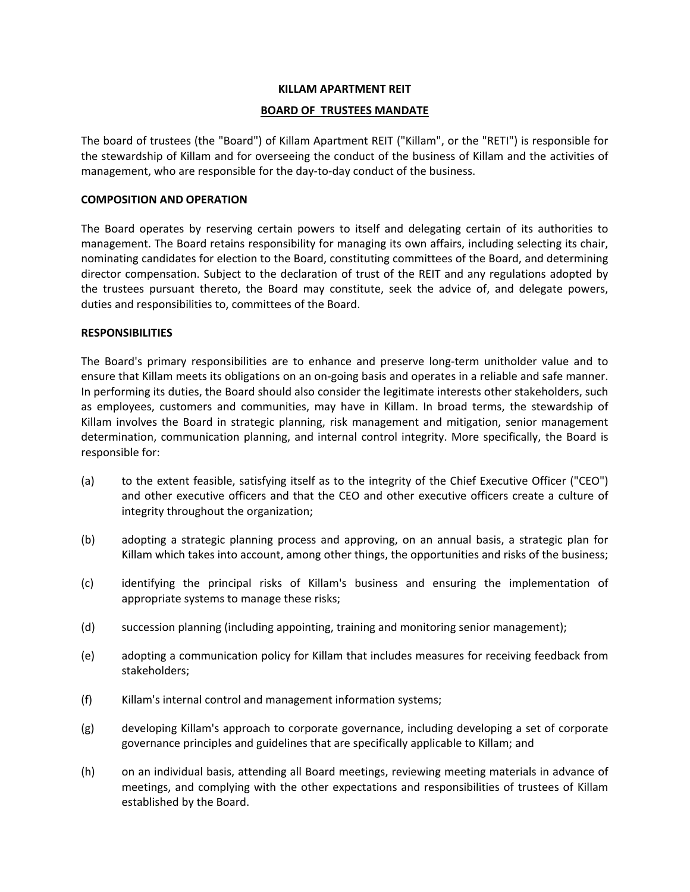## **KILLAM APARTMENT REIT**

### **BOARD OF TRUSTEES MANDATE**

The board of trustees (the "Board") of Killam Apartment REIT ("Killam", or the "RETI") is responsible for the stewardship of Killam and for overseeing the conduct of the business of Killam and the activities of management, who are responsible for the day-to-day conduct of the business.

## **COMPOSITION AND OPERATION**

The Board operates by reserving certain powers to itself and delegating certain of its authorities to management. The Board retains responsibility for managing its own affairs, including selecting its chair, nominating candidates for election to the Board, constituting committees of the Board, and determining director compensation. Subject to the declaration of trust of the REIT and any regulations adopted by the trustees pursuant thereto, the Board may constitute, seek the advice of, and delegate powers, duties and responsibilities to, committees of the Board.

## **RESPONSIBILITIES**

The Board's primary responsibilities are to enhance and preserve long‐term unitholder value and to ensure that Killam meets its obligations on an on-going basis and operates in a reliable and safe manner. In performing its duties, the Board should also consider the legitimate interests other stakeholders, such as employees, customers and communities, may have in Killam. In broad terms, the stewardship of Killam involves the Board in strategic planning, risk management and mitigation, senior management determination, communication planning, and internal control integrity. More specifically, the Board is responsible for:

- (a) to the extent feasible, satisfying itself as to the integrity of the Chief Executive Officer ("CEO") and other executive officers and that the CEO and other executive officers create a culture of integrity throughout the organization;
- (b) adopting a strategic planning process and approving, on an annual basis, a strategic plan for Killam which takes into account, among other things, the opportunities and risks of the business;
- (c) identifying the principal risks of Killam's business and ensuring the implementation of appropriate systems to manage these risks;
- (d) succession planning (including appointing, training and monitoring senior management);
- (e) adopting a communication policy for Killam that includes measures for receiving feedback from stakeholders;
- (f) Killam's internal control and management information systems;
- (g) developing Killam's approach to corporate governance, including developing a set of corporate governance principles and guidelines that are specifically applicable to Killam; and
- (h) on an individual basis, attending all Board meetings, reviewing meeting materials in advance of meetings, and complying with the other expectations and responsibilities of trustees of Killam established by the Board.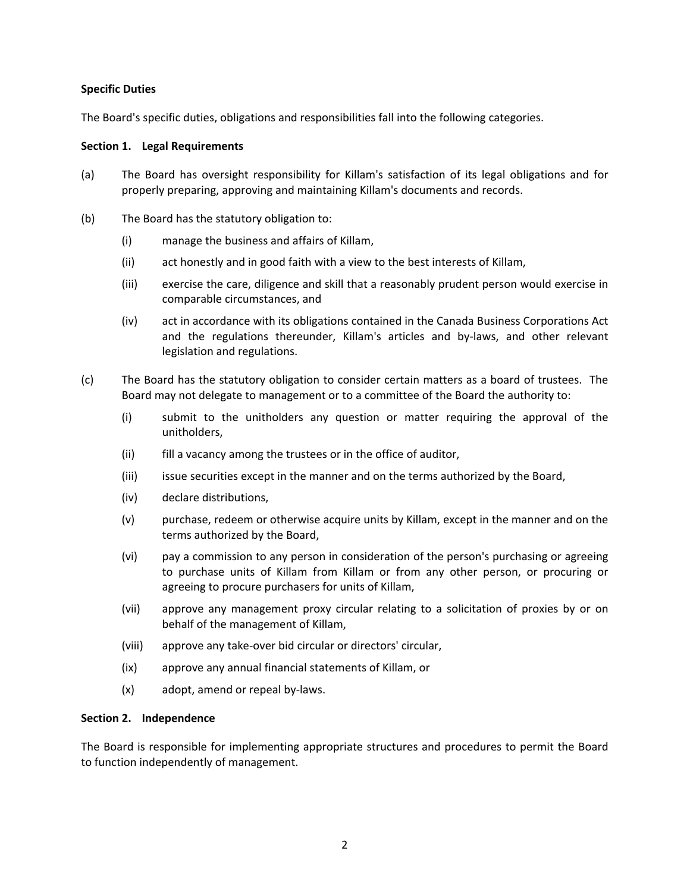## **Specific Duties**

The Board's specific duties, obligations and responsibilities fall into the following categories.

## **Section 1. Legal Requirements**

- (a) The Board has oversight responsibility for Killam's satisfaction of its legal obligations and for properly preparing, approving and maintaining Killam's documents and records.
- (b) The Board has the statutory obligation to:
	- (i) manage the business and affairs of Killam,
	- (ii) act honestly and in good faith with a view to the best interests of Killam,
	- (iii) exercise the care, diligence and skill that a reasonably prudent person would exercise in comparable circumstances, and
	- (iv) act in accordance with its obligations contained in the Canada Business Corporations Act and the regulations thereunder, Killam's articles and by-laws, and other relevant legislation and regulations.
- (c) The Board has the statutory obligation to consider certain matters as a board of trustees. The Board may not delegate to management or to a committee of the Board the authority to:
	- (i) submit to the unitholders any question or matter requiring the approval of the unitholders,
	- (ii) fill a vacancy among the trustees or in the office of auditor,
	- (iii) issue securities except in the manner and on the terms authorized by the Board,
	- (iv) declare distributions,
	- (v) purchase, redeem or otherwise acquire units by Killam, except in the manner and on the terms authorized by the Board,
	- (vi) pay a commission to any person in consideration of the person's purchasing or agreeing to purchase units of Killam from Killam or from any other person, or procuring or agreeing to procure purchasers for units of Killam,
	- (vii) approve any management proxy circular relating to a solicitation of proxies by or on behalf of the management of Killam,
	- (viii) approve any take‐over bid circular or directors' circular,
	- (ix) approve any annual financial statements of Killam, or
	- (x) adopt, amend or repeal by‐laws.

# **Section 2. Independence**

The Board is responsible for implementing appropriate structures and procedures to permit the Board to function independently of management.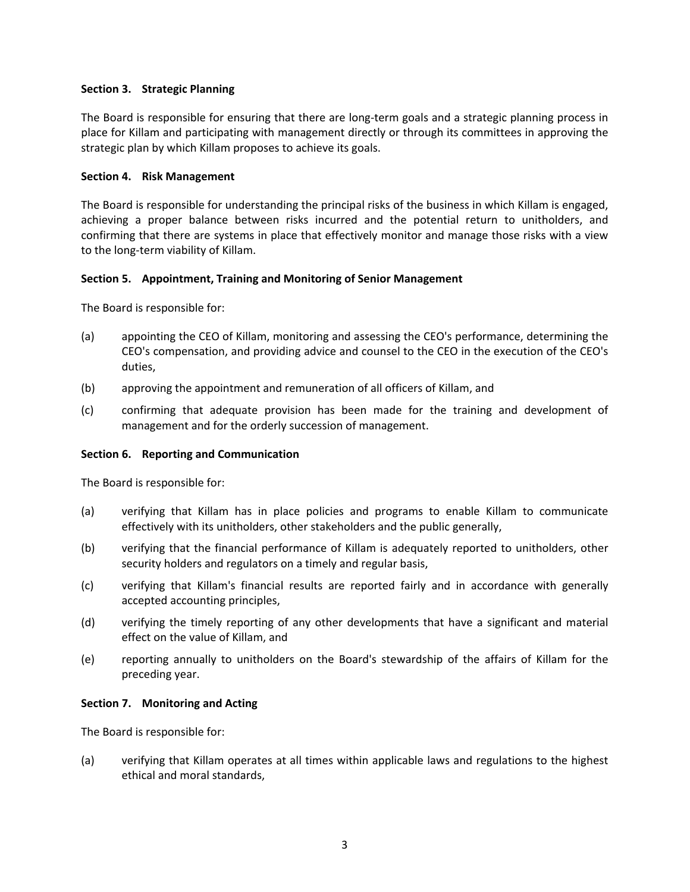# **Section 3. Strategic Planning**

The Board is responsible for ensuring that there are long-term goals and a strategic planning process in place for Killam and participating with management directly or through its committees in approving the strategic plan by which Killam proposes to achieve its goals.

## **Section 4. Risk Management**

The Board is responsible for understanding the principal risks of the business in which Killam is engaged, achieving a proper balance between risks incurred and the potential return to unitholders, and confirming that there are systems in place that effectively monitor and manage those risks with a view to the long‐term viability of Killam.

## **Section 5. Appointment, Training and Monitoring of Senior Management**

The Board is responsible for:

- (a) appointing the CEO of Killam, monitoring and assessing the CEO's performance, determining the CEO's compensation, and providing advice and counsel to the CEO in the execution of the CEO's duties,
- (b) approving the appointment and remuneration of all officers of Killam, and
- (c) confirming that adequate provision has been made for the training and development of management and for the orderly succession of management.

### **Section 6. Reporting and Communication**

The Board is responsible for:

- (a) verifying that Killam has in place policies and programs to enable Killam to communicate effectively with its unitholders, other stakeholders and the public generally,
- (b) verifying that the financial performance of Killam is adequately reported to unitholders, other security holders and regulators on a timely and regular basis,
- (c) verifying that Killam's financial results are reported fairly and in accordance with generally accepted accounting principles,
- (d) verifying the timely reporting of any other developments that have a significant and material effect on the value of Killam, and
- (e) reporting annually to unitholders on the Board's stewardship of the affairs of Killam for the preceding year.

### **Section 7. Monitoring and Acting**

The Board is responsible for:

(a) verifying that Killam operates at all times within applicable laws and regulations to the highest ethical and moral standards,